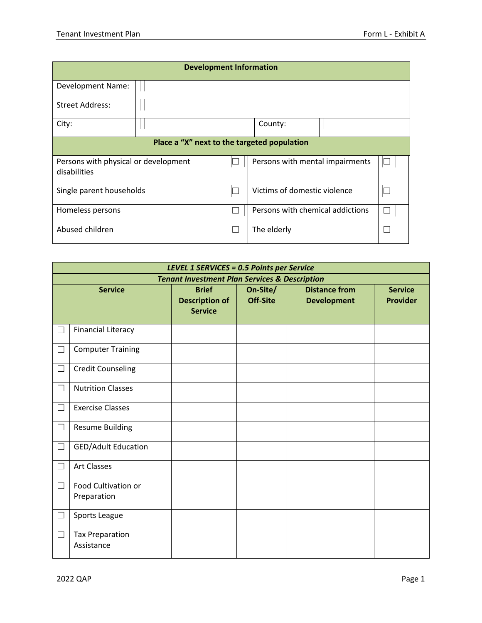| <b>Development Information</b>                       |  |                          |                                  |  |   |  |
|------------------------------------------------------|--|--------------------------|----------------------------------|--|---|--|
| Development Name:                                    |  |                          |                                  |  |   |  |
| <b>Street Address:</b>                               |  |                          |                                  |  |   |  |
| City:                                                |  |                          | County:                          |  |   |  |
| Place a "X" next to the targeted population          |  |                          |                                  |  |   |  |
| Persons with physical or development<br>disabilities |  |                          | Persons with mental impairments  |  | ╚ |  |
| Single parent households                             |  | $\mathbf{L}$             | Victims of domestic violence     |  |   |  |
| Homeless persons                                     |  | $\overline{\phantom{a}}$ | Persons with chemical addictions |  | П |  |
| Abused children                                      |  | $\overline{\phantom{a}}$ | The elderly                      |  |   |  |

| <b>LEVEL 1 SERVICES = 0.5 Points per Service</b>         |                                      |                                                         |                             |                                            |                                   |
|----------------------------------------------------------|--------------------------------------|---------------------------------------------------------|-----------------------------|--------------------------------------------|-----------------------------------|
| <b>Tenant Investment Plan Services &amp; Description</b> |                                      |                                                         |                             |                                            |                                   |
| <b>Service</b>                                           |                                      | <b>Brief</b><br><b>Description of</b><br><b>Service</b> | On-Site/<br><b>Off-Site</b> | <b>Distance from</b><br><b>Development</b> | <b>Service</b><br><b>Provider</b> |
| $\Box$                                                   | <b>Financial Literacy</b>            |                                                         |                             |                                            |                                   |
| $\Box$                                                   | <b>Computer Training</b>             |                                                         |                             |                                            |                                   |
| $\Box$                                                   | <b>Credit Counseling</b>             |                                                         |                             |                                            |                                   |
| П                                                        | <b>Nutrition Classes</b>             |                                                         |                             |                                            |                                   |
| $\Box$                                                   | <b>Exercise Classes</b>              |                                                         |                             |                                            |                                   |
| $\Box$                                                   | <b>Resume Building</b>               |                                                         |                             |                                            |                                   |
| $\Box$                                                   | <b>GED/Adult Education</b>           |                                                         |                             |                                            |                                   |
| ┚                                                        | <b>Art Classes</b>                   |                                                         |                             |                                            |                                   |
| $\vert \ \ \vert$                                        | Food Cultivation or<br>Preparation   |                                                         |                             |                                            |                                   |
| $\Box$                                                   | Sports League                        |                                                         |                             |                                            |                                   |
| $\Box$                                                   | <b>Tax Preparation</b><br>Assistance |                                                         |                             |                                            |                                   |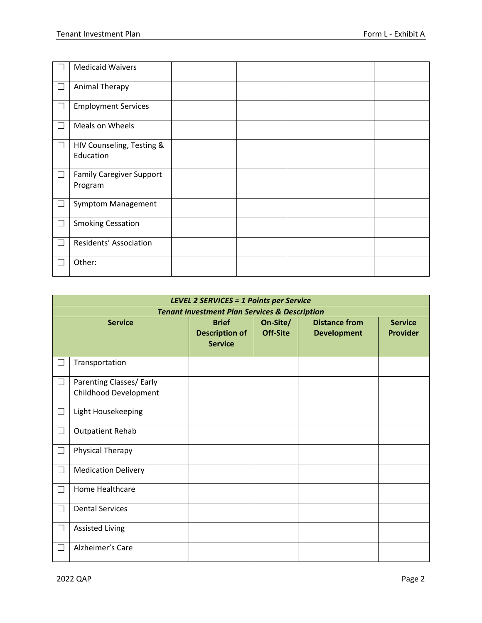|              | <b>Medicaid Waivers</b>                    |  |
|--------------|--------------------------------------------|--|
| $\Box$       | <b>Animal Therapy</b>                      |  |
| $\Box$       | <b>Employment Services</b>                 |  |
| $\Box$       | Meals on Wheels                            |  |
| $\Box$       | HIV Counseling, Testing &<br>Education     |  |
| $\perp$      | <b>Family Caregiver Support</b><br>Program |  |
| ப            | Symptom Management                         |  |
| $\Box$       | <b>Smoking Cessation</b>                   |  |
| $\Box$       | Residents' Association                     |  |
| $\mathbf{L}$ | Other:                                     |  |

|                | <b>LEVEL 2 SERVICES = 1 Points per Service</b>           |                                                         |                      |                                            |                                   |  |
|----------------|----------------------------------------------------------|---------------------------------------------------------|----------------------|--------------------------------------------|-----------------------------------|--|
|                | <b>Tenant Investment Plan Services &amp; Description</b> |                                                         |                      |                                            |                                   |  |
| <b>Service</b> |                                                          | <b>Brief</b><br><b>Description of</b><br><b>Service</b> | On-Site/<br>Off-Site | <b>Distance from</b><br><b>Development</b> | <b>Service</b><br><b>Provider</b> |  |
|                | Transportation                                           |                                                         |                      |                                            |                                   |  |
| $\Box$         | Parenting Classes/ Early<br>Childhood Development        |                                                         |                      |                                            |                                   |  |
| П              | Light Housekeeping                                       |                                                         |                      |                                            |                                   |  |
| $\mathbf{L}$   | <b>Outpatient Rehab</b>                                  |                                                         |                      |                                            |                                   |  |
| $\Box$         | Physical Therapy                                         |                                                         |                      |                                            |                                   |  |
| $\Box$         | <b>Medication Delivery</b>                               |                                                         |                      |                                            |                                   |  |
| П              | Home Healthcare                                          |                                                         |                      |                                            |                                   |  |
| П              | <b>Dental Services</b>                                   |                                                         |                      |                                            |                                   |  |
| ⊔              | <b>Assisted Living</b>                                   |                                                         |                      |                                            |                                   |  |
| П              | Alzheimer's Care                                         |                                                         |                      |                                            |                                   |  |